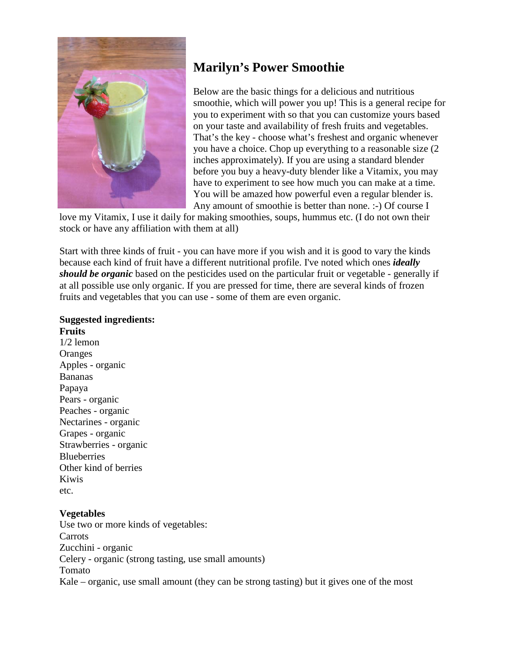

# **Marilyn's Power Smoothie**

Below are the basic things for a delicious and nutritious smoothie, which will power you up! This is a general recipe for you to experiment with so that you can customize yours based on your taste and availability of fresh fruits and vegetables. That's the key - choose what's freshest and organic whenever you have a choice. Chop up everything to a reasonable size (2 inches approximately). If you are using a standard blender before you buy a heavy-duty blender like a Vitamix, you may have to experiment to see how much you can make at a time. You will be amazed how powerful even a regular blender is. Any amount of smoothie is better than none. :-) Of course I

love my Vitamix, I use it daily for making smoothies, soups, hummus etc. (I do not own their stock or have any affiliation with them at all)

Start with three kinds of fruit - you can have more if you wish and it is good to vary the kinds because each kind of fruit have a different nutritional profile. I've noted which ones *ideally should be organic* based on the pesticides used on the particular fruit or vegetable - generally if at all possible use only organic. If you are pressed for time, there are several kinds of frozen fruits and vegetables that you can use - some of them are even organic.

#### **Suggested ingredients: Fruits**

1/2 lemon **Oranges** Apples - organic Bananas Papaya Pears - organic Peaches - organic Nectarines - organic Grapes - organic Strawberries - organic **Blueberries** Other kind of berries Kiwis etc.

## **Vegetables**

Use two or more kinds of vegetables: Carrots Zucchini - organic Celery - organic (strong tasting, use small amounts) Tomato Kale – organic, use small amount (they can be strong tasting) but it gives one of the most